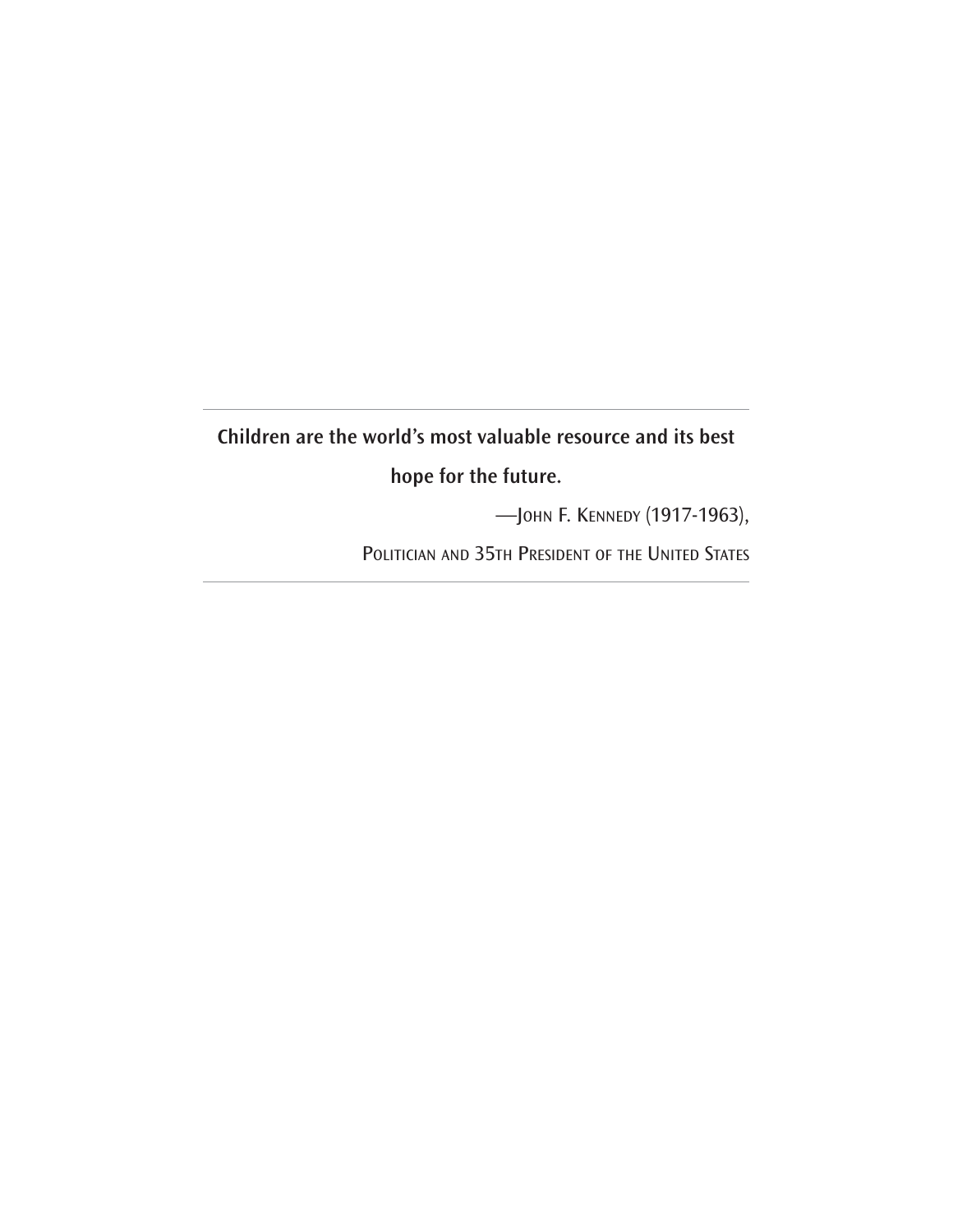## **Children are the world's most valuable resource and its best hope for the future.**

—JOHN F. KENNEDY (1917-1963),

POLITICIAN AND 35TH PRESIDENT OF THE UNITED STATES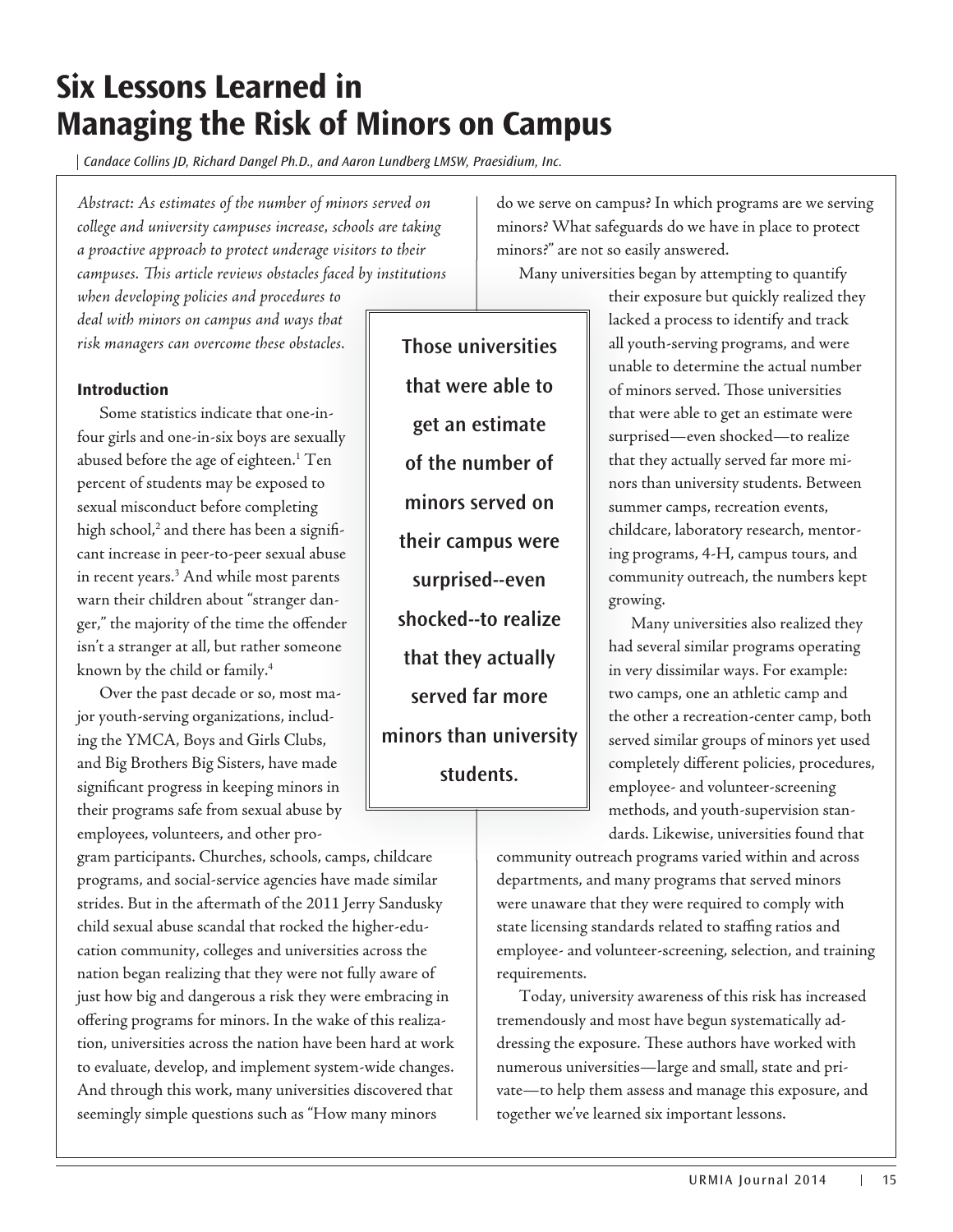# **Six Lessons Learned in Managing the Risk of Minors on Campus**

Candace Collins JD, Richard Dangel Ph.D., and Aaron Lundberg LMSW, Praesidium, Inc.

*Abstract: As estimates of the number of minors served on college and university campuses increase, schools are taking a proactive approach to protect underage visitors to their campuses. This article reviews obstacles faced by institutions s institutions*

*when developing policies and procedures to deal with minors on campus and ways that*  when developing policies and procedures to<br>deal with minors on campus and ways that<br>risk managers can overcome these obstacles.

#### **Introduction**

Some statistics indicate that one-in-infour girls and one-in-six boys are sexually abused before the age of eighteen.<sup>1</sup> Ten<br>percent of students may be exposed to percent of students may be exposed to sexual misconduct before completing high school, $^2$  and there has been a significant increase in peer-to-peer sexual abuse<br>in recent years.<sup>3</sup> And while most parents in recent years.3 And while most parents warn their children about "stranger danger," the majority of the time the offender<br>isn't a stranger at all, but rather someone<br>known by the child or family.<sup>4</sup><br>Over the past decade or so, most ma-<br>jor youth-serving organizations, includisn't a stranger at all, but rather someone known by the child or family.4

Over the past decade or so, most major youth-serving organizations, including the YMCA, Boys and Girls Clubs, and Big Brothers Big Sisters, have made and Big Brothers Big Sisters, have made<br>significant progress in keeping minors in their programs safe from sexual abuse by<br>employees, volunteers, and other proemployees, volunteers, and other pro-

gram participants. Churches, schools, camps, childcare programs, and social-service agencies have made similar strides. But in the aftermath of the 2011 Jerry Sandusky child sexual abuse scandal that rocked the higher-education community, colleges and universities across the nation began realizing that they were not fully aware of just how big and dangerous a risk they were embracing in offering programs for minors. In the wake of this realization, universities across the nation have been hard at work to evaluate, develop, and implement system-wide changes. And through this work, many universities discovered that seemingly simple questions such as "How many minors

**Those universities that were able to get an estimate of the number of minors served on their campus were surprised--even shocked--to realize that they actually served far more minors than university students.**

do we serve on campus? In which programs are we serving minors? What safeguards do we have in place to protect minors?" are not so easily answered.

Many universities began by attempting to quantify b

their exposure but quickly realized they their lacked a process to identify and track lacke all youth-serving programs, and were unable to determine the actual number unab of minors served. Those universities mi that were able to get an estimate were w surprised—even shocked—to realize surpr that they actually served far more mi-t nors than university students. Between nors summer camps, recreation events, childcare, laboratory research, mentor-child ing programs, 4-H, campus tours, and p community outreach, the numbers kept comm growing. grow

Many universities also realized they M had several similar programs operating in very dissimilar ways. For example: ver two camps, one an athletic camp and the other a recreation-center camp, both served similar groups of minors yet used serve completely different policies, procedures, comp employee- and volunteer-screening empl methods, and youth-supervision stan-meth

dards. Likewise, universities found that dards community outreach programs varied within and across p departments, and many programs that served minors were unaware that they were required to comply with state licensing standards related to staffing ratios and employee- and volunteer-screening, selection, and training requirements.

Today, university awareness of this risk has increased tremendously and most have begun systematically addressing the exposure. These authors have worked with numerous universities—large and small, state and private—to help them assess and manage this exposure, and together we've learned six important lessons.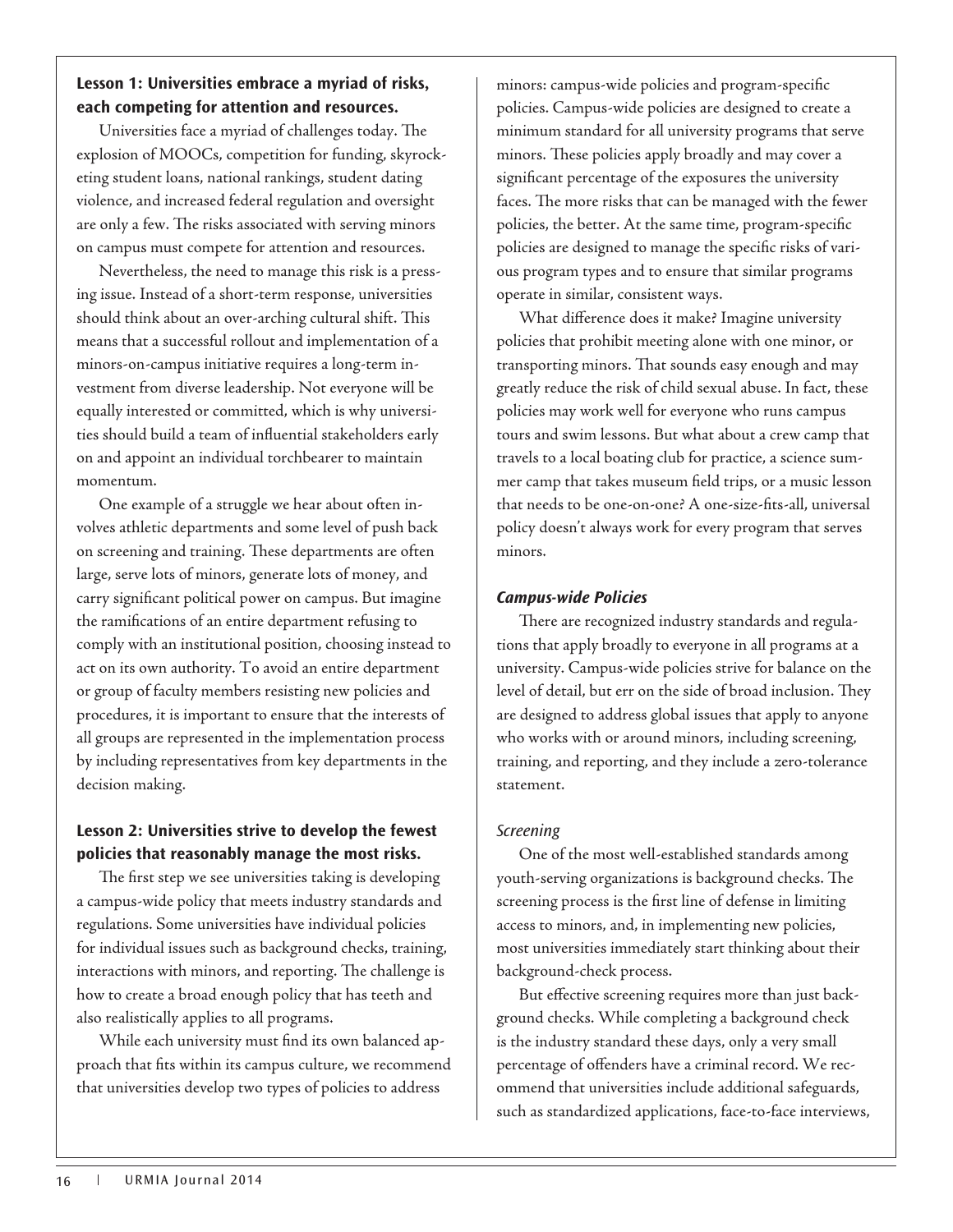## **Lesson 1: Universities embrace a myriad of risks, each competing for attention and resources.**

Universities face a myriad of challenges today. The explosion of MOOCs, competition for funding, skyrocketing student loans, national rankings, student dating violence, and increased federal regulation and oversight are only a few. The risks associated with serving minors on campus must compete for attention and resources.

Nevertheless, the need to manage this risk is a pressing issue. Instead of a short-term response, universities should think about an over-arching cultural shift. This means that a successful rollout and implementation of a minors-on-campus initiative requires a long-term investment from diverse leadership. Not everyone will be equally interested or committed, which is why universities should build a team of influential stakeholders early on and appoint an individual torchbearer to maintain momentum.

One example of a struggle we hear about often involves athletic departments and some level of push back on screening and training. These departments are often large, serve lots of minors, generate lots of money, and carry significant political power on campus. But imagine the ramifications of an entire department refusing to comply with an institutional position, choosing instead to act on its own authority. To avoid an entire department or group of faculty members resisting new policies and procedures, it is important to ensure that the interests of all groups are represented in the implementation process by including representatives from key departments in the decision making.

## **Lesson 2: Universities strive to develop the fewest policies that reasonably manage the most risks.**

The first step we see universities taking is developing a campus-wide policy that meets industry standards and regulations. Some universities have individual policies for individual issues such as background checks, training, interactions with minors, and reporting. The challenge is how to create a broad enough policy that has teeth and also realistically applies to all programs.

While each university must find its own balanced approach that fits within its campus culture, we recommend that universities develop two types of policies to address

minors: campus-wide policies and program-specific policies. Campus-wide policies are designed to create a minimum standard for all university programs that serve minors. These policies apply broadly and may cover a significant percentage of the exposures the university faces. The more risks that can be managed with the fewer policies, the better. At the same time, program-specific policies are designed to manage the specific risks of various program types and to ensure that similar programs operate in similar, consistent ways.

What difference does it make? Imagine university policies that prohibit meeting alone with one minor, or transporting minors. That sounds easy enough and may greatly reduce the risk of child sexual abuse. In fact, these policies may work well for everyone who runs campus tours and swim lessons. But what about a crew camp that travels to a local boating club for practice, a science summer camp that takes museum field trips, or a music lesson that needs to be one-on-one? A one-size-fits-all, universal policy doesn't always work for every program that serves minors.

#### **Campus-wide Policies**

There are recognized industry standards and regulations that apply broadly to everyone in all programs at a university. Campus-wide policies strive for balance on the level of detail, but err on the side of broad inclusion. They are designed to address global issues that apply to anyone who works with or around minors, including screening, training, and reporting, and they include a zero-tolerance statement.

#### Screening

One of the most well-established standards among youth-serving organizations is background checks. The screening process is the first line of defense in limiting access to minors, and, in implementing new policies, most universities immediately start thinking about their background-check process.

But effective screening requires more than just background checks. While completing a background check is the industry standard these days, only a very small percentage of offenders have a criminal record. We recommend that universities include additional safeguards, such as standardized applications, face-to-face interviews,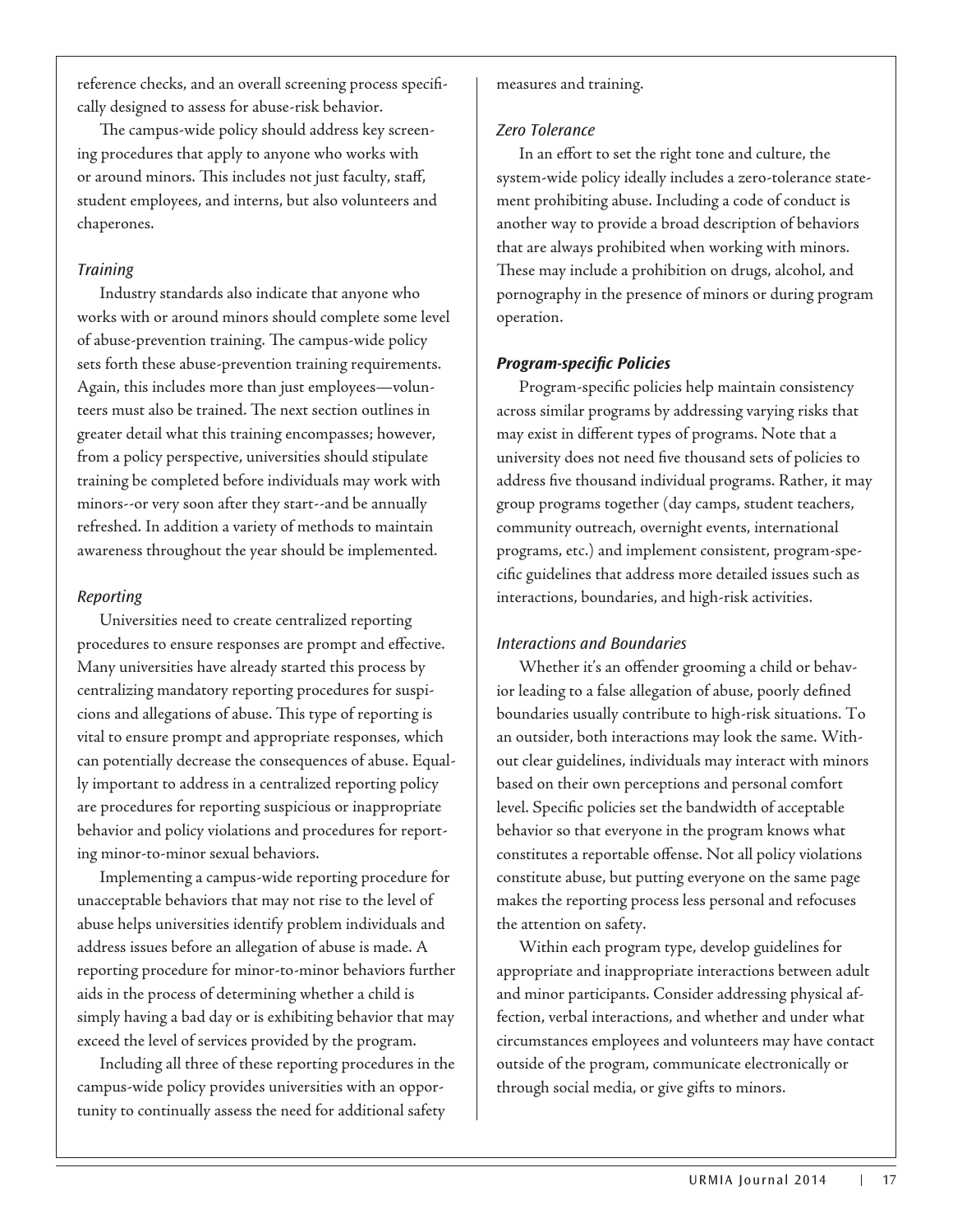reference checks, and an overall screening process specifically designed to assess for abuse-risk behavior.

The campus-wide policy should address key screening procedures that apply to anyone who works with or around minors. This includes not just faculty, staff, student employees, and interns, but also volunteers and chaperones.

#### **Training**

Industry standards also indicate that anyone who works with or around minors should complete some level of abuse-prevention training. The campus-wide policy sets forth these abuse-prevention training requirements. Again, this includes more than just employees—volunteers must also be trained. The next section outlines in greater detail what this training encompasses; however, from a policy perspective, universities should stipulate training be completed before individuals may work with minors--or very soon after they start--and be annually refreshed. In addition a variety of methods to maintain awareness throughout the year should be implemented.

#### Reporting

Universities need to create centralized reporting procedures to ensure responses are prompt and effective. Many universities have already started this process by centralizing mandatory reporting procedures for suspicions and allegations of abuse. This type of reporting is vital to ensure prompt and appropriate responses, which can potentially decrease the consequences of abuse. Equally important to address in a centralized reporting policy are procedures for reporting suspicious or inappropriate behavior and policy violations and procedures for reporting minor-to-minor sexual behaviors.

Implementing a campus-wide reporting procedure for unacceptable behaviors that may not rise to the level of abuse helps universities identify problem individuals and address issues before an allegation of abuse is made. A reporting procedure for minor-to-minor behaviors further aids in the process of determining whether a child is simply having a bad day or is exhibiting behavior that may exceed the level of services provided by the program.

Including all three of these reporting procedures in the campus-wide policy provides universities with an opportunity to continually assess the need for additional safety

measures and training.

#### Zero Tolerance

In an effort to set the right tone and culture, the system-wide policy ideally includes a zero-tolerance statement prohibiting abuse. Including a code of conduct is another way to provide a broad description of behaviors that are always prohibited when working with minors. These may include a prohibition on drugs, alcohol, and pornography in the presence of minors or during program operation.

#### **Program-specific Policies**

Program-specific policies help maintain consistency across similar programs by addressing varying risks that may exist in different types of programs. Note that a university does not need five thousand sets of policies to address five thousand individual programs. Rather, it may group programs together (day camps, student teachers, community outreach, overnight events, international programs, etc.) and implement consistent, program-specific guidelines that address more detailed issues such as interactions, boundaries, and high-risk activities.

#### Interactions and Boundaries

Whether it's an offender grooming a child or behavior leading to a false allegation of abuse, poorly defined boundaries usually contribute to high-risk situations. To an outsider, both interactions may look the same. Without clear guidelines, individuals may interact with minors based on their own perceptions and personal comfort level. Specific policies set the bandwidth of acceptable behavior so that everyone in the program knows what constitutes a reportable offense. Not all policy violations constitute abuse, but putting everyone on the same page makes the reporting process less personal and refocuses the attention on safety.

Within each program type, develop guidelines for appropriate and inappropriate interactions between adult and minor participants. Consider addressing physical affection, verbal interactions, and whether and under what circumstances employees and volunteers may have contact outside of the program, communicate electronically or through social media, or give gifts to minors.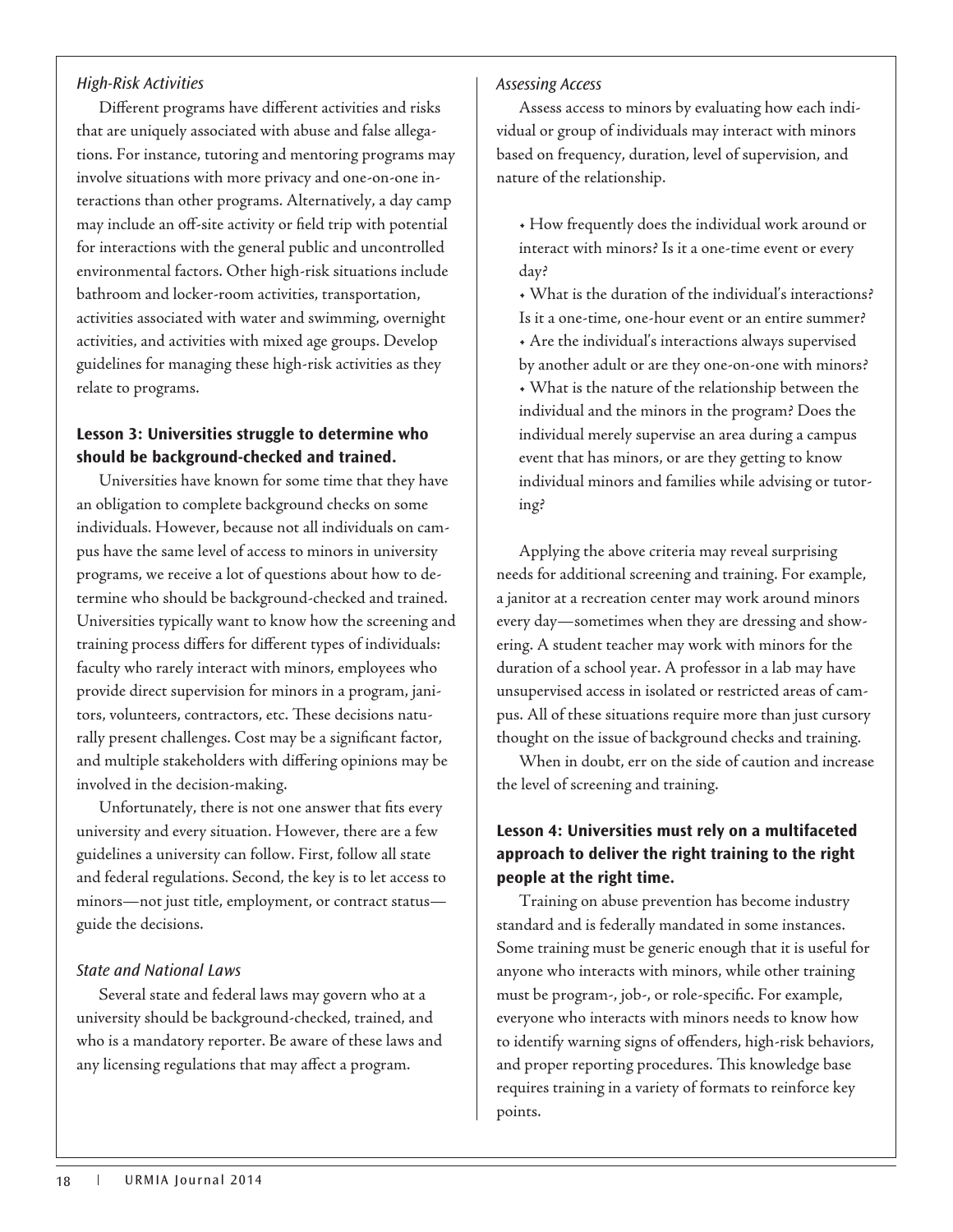#### High-Risk Activities

Different programs have different activities and risks that are uniquely associated with abuse and false allegations. For instance, tutoring and mentoring programs may involve situations with more privacy and one-on-one interactions than other programs. Alternatively, a day camp may include an off-site activity or field trip with potential for interactions with the general public and uncontrolled environmental factors. Other high-risk situations include bathroom and locker-room activities, transportation, activities associated with water and swimming, overnight activities, and activities with mixed age groups. Develop guidelines for managing these high-risk activities as they relate to programs.

## **Lesson 3: Universities struggle to determine who should be background-checked and trained.**

Universities have known for some time that they have an obligation to complete background checks on some individuals. However, because not all individuals on campus have the same level of access to minors in university programs, we receive a lot of questions about how to determine who should be background-checked and trained. Universities typically want to know how the screening and training process differs for different types of individuals: faculty who rarely interact with minors, employees who provide direct supervision for minors in a program, janitors, volunteers, contractors, etc. These decisions naturally present challenges. Cost may be a significant factor, and multiple stakeholders with differing opinions may be involved in the decision-making.

Unfortunately, there is not one answer that fits every university and every situation. However, there are a few guidelines a university can follow. First, follow all state and federal regulations. Second, the key is to let access to minors—not just title, employment, or contract status guide the decisions.

#### State and National Laws

Several state and federal laws may govern who at a university should be background-checked, trained, and who is a mandatory reporter. Be aware of these laws and any licensing regulations that may affect a program.

#### Assessing Access

Assess access to minors by evaluating how each individual or group of individuals may interact with minors based on frequency, duration, level of supervision, and nature of the relationship.

• How frequently does the individual work around or interact with minors? Is it a one-time event or every day?

• What is the duration of the individual's interactions? Is it a one-time, one-hour event or an entire summer? • Are the individual's interactions always supervised by another adult or are they one-on-one with minors? • What is the nature of the relationship between the individual and the minors in the program? Does the individual merely supervise an area during a campus event that has minors, or are they getting to know individual minors and families while advising or tutoring?

Applying the above criteria may reveal surprising needs for additional screening and training. For example, a janitor at a recreation center may work around minors every day—sometimes when they are dressing and showering. A student teacher may work with minors for the duration of a school year. A professor in a lab may have unsupervised access in isolated or restricted areas of campus. All of these situations require more than just cursory thought on the issue of background checks and training.

When in doubt, err on the side of caution and increase the level of screening and training.

## **Lesson 4: Universities must rely on a multifaceted approach to deliver the right training to the right people at the right time.**

Training on abuse prevention has become industry standard and is federally mandated in some instances. Some training must be generic enough that it is useful for anyone who interacts with minors, while other training must be program-, job-, or role-specific. For example, everyone who interacts with minors needs to know how to identify warning signs of offenders, high-risk behaviors, and proper reporting procedures. This knowledge base requires training in a variety of formats to reinforce key points.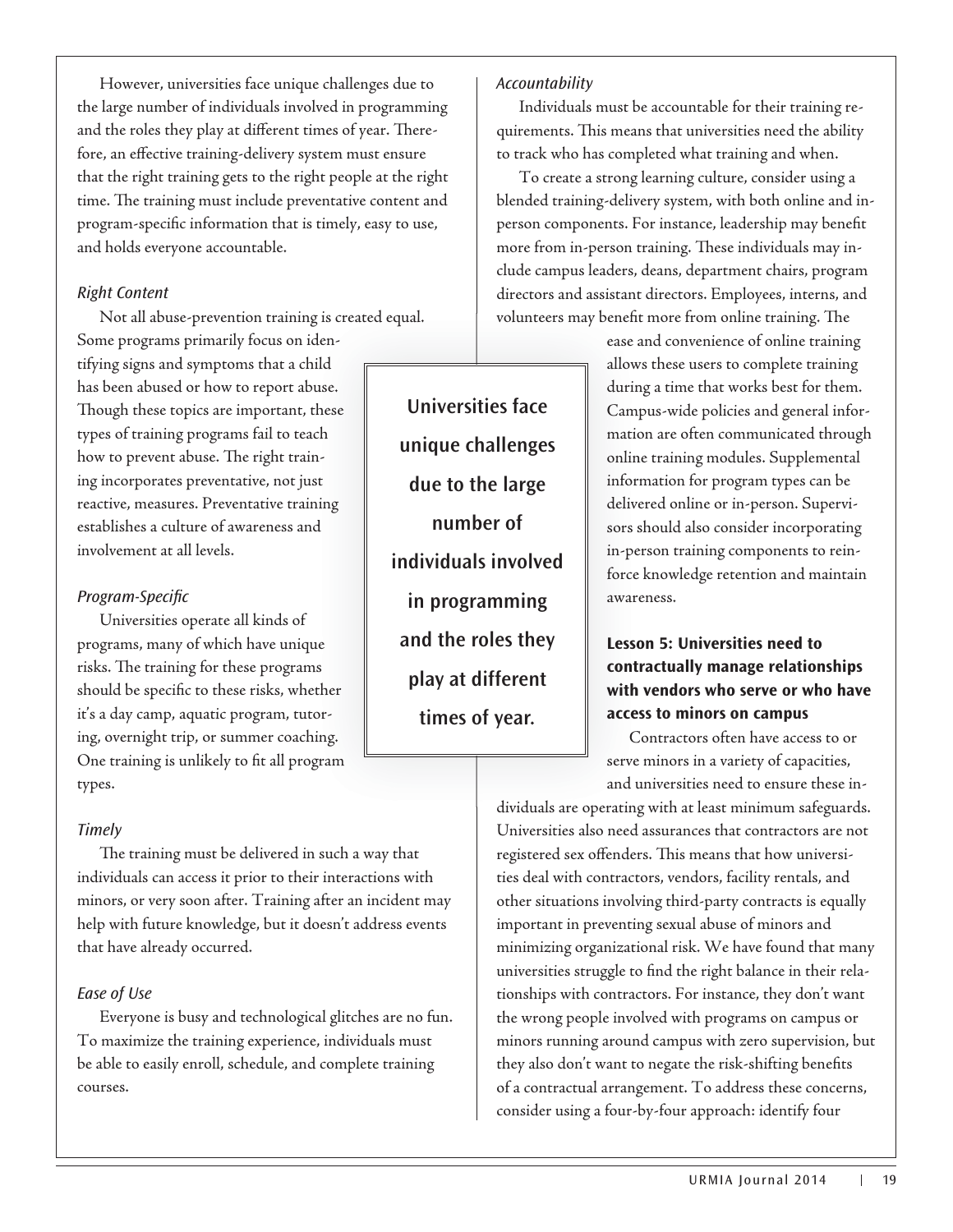However, universities face unique challenges due to the large number of individuals involved in programming and the roles they play at different times of year. Therefore, an effective training-delivery system must ensure that the right training gets to the right people at the right time. The training must include preventative content and program-specific information that is timely, easy to use, and holds everyone accountable.

#### Right Content

Not all abuse-prevention training is created equal.

Some programs primarily focus on iden-dentifying signs and symptoms that a child has been abused or how to report abuse. Though these topics are important, these types of training programs fail to teach how to prevent abuse. The right training incorporates preventative, not just reactive, measures. Preventative training establishes a culture of awareness and involvement at all levels. ild<br>use.<br>:hese<br>ch

#### Program-Specific

Universities operate all kinds of programs, many of which have unique programs, many of which have unique<br>risks. The training for these programs should be specific to these risks, whether<br>it's a day camp, aquatic program, tutorit's a day camp, aquatic program, tutoring, overnight trip, or summer coaching. One training is unlikely to fit all program types.

#### **Timely**

The training must be delivered in such a way that individuals can access it prior to their interactions with minors, or very soon after. Training after an incident may help with future knowledge, but it doesn't address events that have already occurred.

#### Ease of Use

Everyone is busy and technological glitches are no fun. To maximize the training experience, individuals must be able to easily enroll, schedule, and complete training courses.

#### Accountability

Individuals must be accountable for their training requirements. This means that universities need the ability to track who has completed what training and when.

To create a strong learning culture, consider using a blended training-delivery system, with both online and inperson components. For instance, leadership may benefit more from in-person training. These individuals may include campus leaders, deans, department chairs, program directors and assistant directors. Employees, interns, and volunteers may benefit more from online training. The

> ease and convenience of online training a allows these users to complete training allow during a time that works best for them. durin Campus-wide policies and general infor-Cam mation are often communicated through matio online training modules. Supplemental information for program types can be infor delivered online or in-person. Supervi-deliv sors should also consider incorporating s in-person training components to rein-in-pe force knowledge retention and maintain force awareness. awar

## **Lesson 5: Universities need to Lesso contractually manage relationships cont with vendors who serve or who have with access to minors on campus acce**

Contractors often have access to or C serve minors in a variety of capacities, serve and universities need to ensure these in-

dividuals are operating with at least minimum safeguards. Universities also need assurances that contractors are not registered sex offenders. This means that how universities deal with contractors, vendors, facility rentals, and other situations involving third-party contracts is equally important in preventing sexual abuse of minors and minimizing organizational risk. We have found that many universities struggle to find the right balance in their relationships with contractors. For instance, they don't want the wrong people involved with programs on campus or minors running around campus with zero supervision, but they also don't want to negate the risk-shifting benefits of a contractual arrangement. To address these concerns, consider using a four-by-four approach: identify four

gram
<br>
and the server and the roles of year.<br>
Fig. 5. The set of the large<br>
allowse.<br>
Inversities face<br>
allowse.<br>
Universities face<br>
unique challenges<br>
due to the large<br>
individuals involved<br>
in programming<br>
and the roles **Universities face unique challenges due to the large number of individuals involved in programming and the roles they play at different times of year.**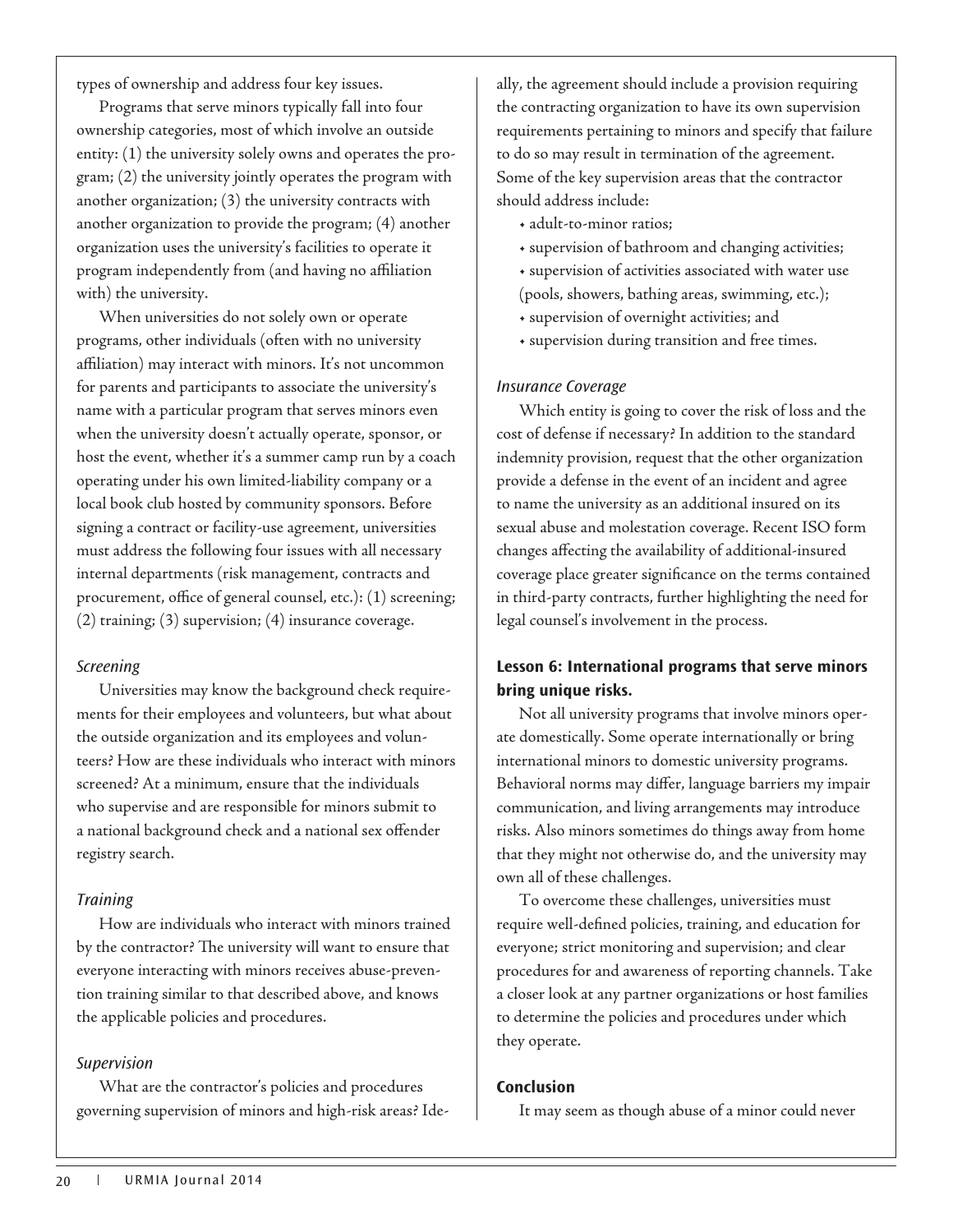types of ownership and address four key issues.

Programs that serve minors typically fall into four ownership categories, most of which involve an outside entity: (1) the university solely owns and operates the program; (2) the university jointly operates the program with another organization; (3) the university contracts with another organization to provide the program; (4) another organization uses the university's facilities to operate it program independently from (and having no affiliation with) the university.

When universities do not solely own or operate programs, other individuals (often with no university affiliation) may interact with minors. It's not uncommon for parents and participants to associate the university's name with a particular program that serves minors even when the university doesn't actually operate, sponsor, or host the event, whether it's a summer camp run by a coach operating under his own limited-liability company or a local book club hosted by community sponsors. Before signing a contract or facility-use agreement, universities must address the following four issues with all necessary internal departments (risk management, contracts and procurement, office of general counsel, etc.): (1) screening; (2) training; (3) supervision; (4) insurance coverage.

#### Screening

Universities may know the background check requirements for their employees and volunteers, but what about the outside organization and its employees and volunteers? How are these individuals who interact with minors screened? At a minimum, ensure that the individuals who supervise and are responsible for minors submit to a national background check and a national sex offender registry search.

#### **Training**

How are individuals who interact with minors trained by the contractor? The university will want to ensure that everyone interacting with minors receives abuse-prevention training similar to that described above, and knows the applicable policies and procedures.

#### Supervision

What are the contractor's policies and procedures governing supervision of minors and high-risk areas? Ideally, the agreement should include a provision requiring the contracting organization to have its own supervision requirements pertaining to minors and specify that failure to do so may result in termination of the agreement. Some of the key supervision areas that the contractor should address include:

- adult-to-minor ratios;
- supervision of bathroom and changing activities;
- supervision of activities associated with water use
- (pools, showers, bathing areas, swimming, etc.);
- supervision of overnight activities; and
- supervision during transition and free times.

#### Insurance Coverage

Which entity is going to cover the risk of loss and the cost of defense if necessary? In addition to the standard indemnity provision, request that the other organization provide a defense in the event of an incident and agree to name the university as an additional insured on its sexual abuse and molestation coverage. Recent ISO form changes affecting the availability of additional-insured coverage place greater significance on the terms contained in third-party contracts, further highlighting the need for legal counsel's involvement in the process.

## **Lesson 6: International programs that serve minors bring unique risks.**

Not all university programs that involve minors operate domestically. Some operate internationally or bring international minors to domestic university programs. Behavioral norms may differ, language barriers my impair communication, and living arrangements may introduce risks. Also minors sometimes do things away from home that they might not otherwise do, and the university may own all of these challenges.

To overcome these challenges, universities must require well-defined policies, training, and education for everyone; strict monitoring and supervision; and clear procedures for and awareness of reporting channels. Take a closer look at any partner organizations or host families to determine the policies and procedures under which they operate.

#### **Conclusion**

It may seem as though abuse of a minor could never